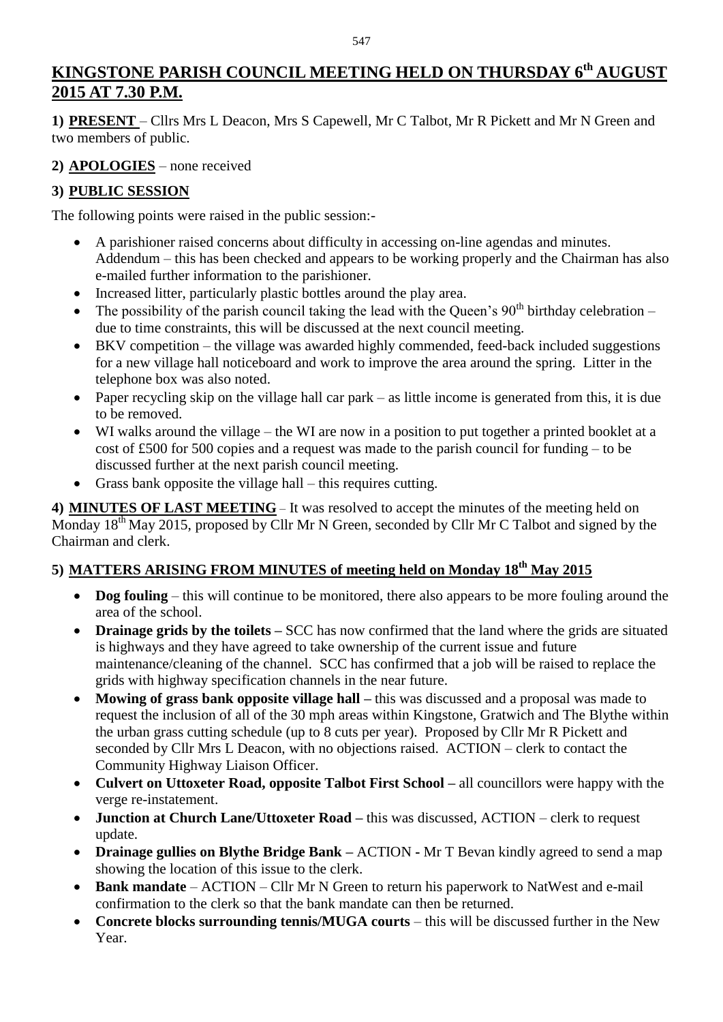# **KINGSTONE PARISH COUNCIL MEETING HELD ON THURSDAY 6 th AUGUST 2015 AT 7.30 P.M.**

**1) PRESENT** – Cllrs Mrs L Deacon, Mrs S Capewell, Mr C Talbot, Mr R Pickett and Mr N Green and two members of public.

## **2) APOLOGIES** – none received

# **3) PUBLIC SESSION**

The following points were raised in the public session:-

- A parishioner raised concerns about difficulty in accessing on-line agendas and minutes. Addendum – this has been checked and appears to be working properly and the Chairman has also e-mailed further information to the parishioner.
- Increased litter, particularly plastic bottles around the play area.
- The possibility of the parish council taking the lead with the Queen's  $90<sup>th</sup>$  birthday celebration due to time constraints, this will be discussed at the next council meeting.
- BKV competition the village was awarded highly commended, feed-back included suggestions for a new village hall noticeboard and work to improve the area around the spring. Litter in the telephone box was also noted.
- Paper recycling skip on the village hall car park as little income is generated from this, it is due to be removed.
- WI walks around the village the WI are now in a position to put together a printed booklet at a cost of £500 for 500 copies and a request was made to the parish council for funding – to be discussed further at the next parish council meeting.
- Grass bank opposite the village hall this requires cutting.

**4) MINUTES OF LAST MEETING** – It was resolved to accept the minutes of the meeting held on Monday 18<sup>th</sup> May 2015, proposed by Cllr Mr N Green, seconded by Cllr Mr C Talbot and signed by the Chairman and clerk.

## **5) MATTERS ARISING FROM MINUTES of meeting held on Monday 18th May 2015**

- **Dog fouling** this will continue to be monitored, there also appears to be more fouling around the area of the school.
- **Drainage grids by the toilets** SCC has now confirmed that the land where the grids are situated is highways and they have agreed to take ownership of the current issue and future maintenance/cleaning of the channel. SCC has confirmed that a job will be raised to replace the grids with highway specification channels in the near future.
- Mowing of grass bank opposite village hall this was discussed and a proposal was made to request the inclusion of all of the 30 mph areas within Kingstone, Gratwich and The Blythe within the urban grass cutting schedule (up to 8 cuts per year). Proposed by Cllr Mr R Pickett and seconded by Cllr Mrs L Deacon, with no objections raised. ACTION – clerk to contact the Community Highway Liaison Officer.
- **Culvert on Uttoxeter Road, opposite Talbot First School –** all councillors were happy with the verge re-instatement.
- **Junction at Church Lane/Uttoxeter Road** this was discussed, ACTION clerk to request update.
- **Drainage gullies on Blythe Bridge Bank –** ACTION **-** Mr T Bevan kindly agreed to send a map showing the location of this issue to the clerk.
- **Bank mandate** ACTION Cllr Mr N Green to return his paperwork to NatWest and e-mail confirmation to the clerk so that the bank mandate can then be returned.
- **Concrete blocks surrounding tennis/MUGA courts** this will be discussed further in the New Year.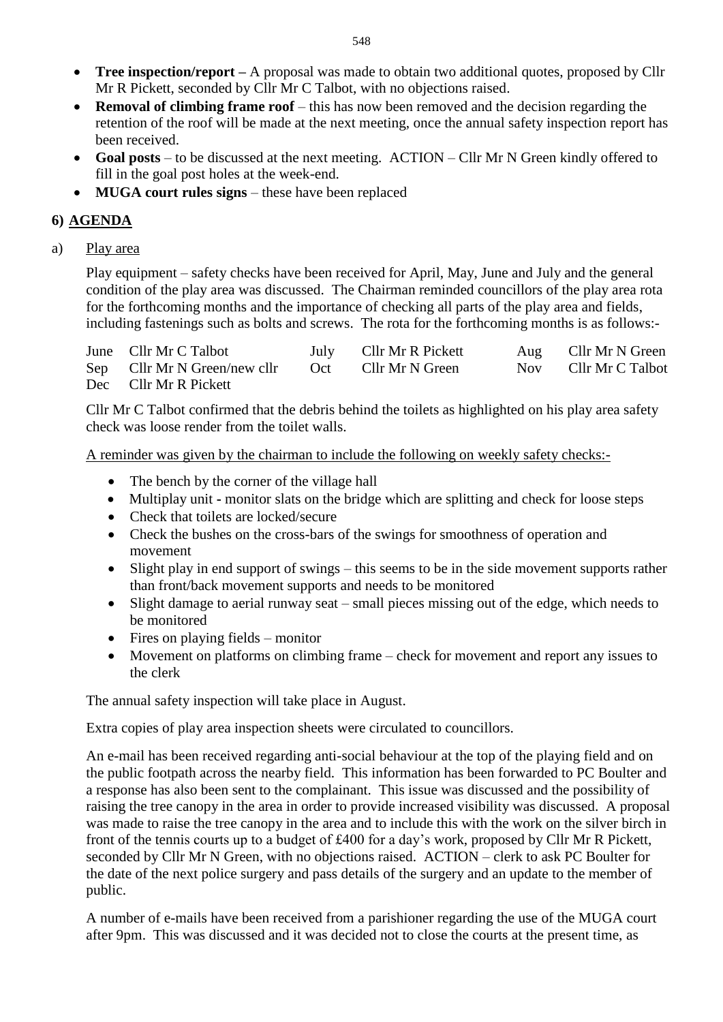- **Tree inspection/report** A proposal was made to obtain two additional quotes, proposed by Cllr Mr R Pickett, seconded by Cllr Mr C Talbot, with no objections raised.
- **Removal of climbing frame roof** this has now been removed and the decision regarding the retention of the roof will be made at the next meeting, once the annual safety inspection report has been received.
- Goal posts to be discussed at the next meeting. ACTION Cllr Mr N Green kindly offered to fill in the goal post holes at the week-end.
- **MUGA court rules signs** these have been replaced

## **6) AGENDA**

a) Play area

Play equipment – safety checks have been received for April, May, June and July and the general condition of the play area was discussed. The Chairman reminded councillors of the play area rota for the forthcoming months and the importance of checking all parts of the play area and fields, including fastenings such as bolts and screws. The rota for the forthcoming months is as follows:-

| June Cllr Mr C Talbot        |     | July Cllr Mr R Pickett | Aug Cllr Mr N Green  |
|------------------------------|-----|------------------------|----------------------|
| Sep Cllr Mr N Green/new cllr | Oct | Cllr Mr N Green        | Nov Cllr Mr C Talbot |
| Dec Cllr Mr R Pickett        |     |                        |                      |

Cllr Mr C Talbot confirmed that the debris behind the toilets as highlighted on his play area safety check was loose render from the toilet walls.

A reminder was given by the chairman to include the following on weekly safety checks:-

- The bench by the corner of the village hall
- Multiplay unit **-** monitor slats on the bridge which are splitting and check for loose steps
- Check that toilets are locked/secure
- Check the bushes on the cross-bars of the swings for smoothness of operation and movement
- Slight play in end support of swings this seems to be in the side movement supports rather than front/back movement supports and needs to be monitored
- Slight damage to aerial runway seat small pieces missing out of the edge, which needs to be monitored
- $\bullet$  Fires on playing fields monitor
- Movement on platforms on climbing frame check for movement and report any issues to the clerk

The annual safety inspection will take place in August.

Extra copies of play area inspection sheets were circulated to councillors.

An e-mail has been received regarding anti-social behaviour at the top of the playing field and on the public footpath across the nearby field. This information has been forwarded to PC Boulter and a response has also been sent to the complainant. This issue was discussed and the possibility of raising the tree canopy in the area in order to provide increased visibility was discussed. A proposal was made to raise the tree canopy in the area and to include this with the work on the silver birch in front of the tennis courts up to a budget of £400 for a day's work, proposed by Cllr Mr R Pickett, seconded by Cllr Mr N Green, with no objections raised. ACTION – clerk to ask PC Boulter for the date of the next police surgery and pass details of the surgery and an update to the member of public.

A number of e-mails have been received from a parishioner regarding the use of the MUGA court after 9pm. This was discussed and it was decided not to close the courts at the present time, as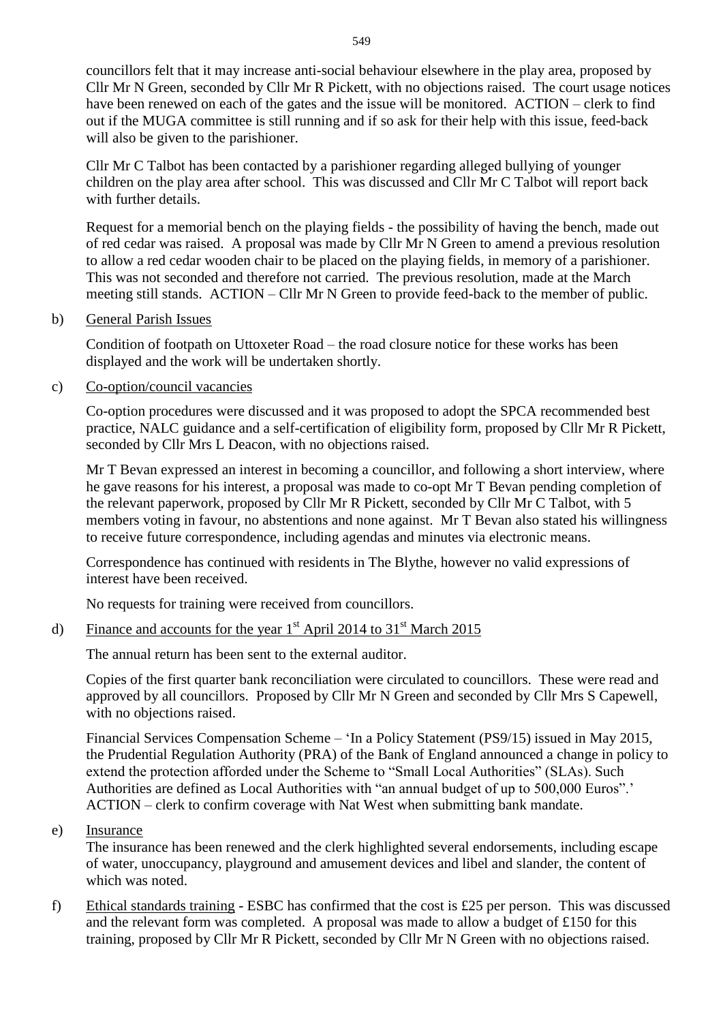councillors felt that it may increase anti-social behaviour elsewhere in the play area, proposed by Cllr Mr N Green, seconded by Cllr Mr R Pickett, with no objections raised. The court usage notices have been renewed on each of the gates and the issue will be monitored. ACTION – clerk to find out if the MUGA committee is still running and if so ask for their help with this issue, feed-back will also be given to the parishioner.

Cllr Mr C Talbot has been contacted by a parishioner regarding alleged bullying of younger children on the play area after school. This was discussed and Cllr Mr C Talbot will report back with further details.

Request for a memorial bench on the playing fields - the possibility of having the bench, made out of red cedar was raised. A proposal was made by Cllr Mr N Green to amend a previous resolution to allow a red cedar wooden chair to be placed on the playing fields, in memory of a parishioner. This was not seconded and therefore not carried. The previous resolution, made at the March meeting still stands. ACTION – Cllr Mr N Green to provide feed-back to the member of public.

#### b) General Parish Issues

Condition of footpath on Uttoxeter Road – the road closure notice for these works has been displayed and the work will be undertaken shortly.

#### c) Co-option/council vacancies

Co-option procedures were discussed and it was proposed to adopt the SPCA recommended best practice, NALC guidance and a self-certification of eligibility form, proposed by Cllr Mr R Pickett, seconded by Cllr Mrs L Deacon, with no objections raised.

Mr T Bevan expressed an interest in becoming a councillor, and following a short interview, where he gave reasons for his interest, a proposal was made to co-opt Mr T Bevan pending completion of the relevant paperwork, proposed by Cllr Mr R Pickett, seconded by Cllr Mr C Talbot, with 5 members voting in favour, no abstentions and none against. Mr T Bevan also stated his willingness to receive future correspondence, including agendas and minutes via electronic means.

Correspondence has continued with residents in The Blythe, however no valid expressions of interest have been received.

No requests for training were received from councillors.

### d) Finance and accounts for the year  $1<sup>st</sup>$  April 2014 to 31<sup>st</sup> March 2015

The annual return has been sent to the external auditor.

Copies of the first quarter bank reconciliation were circulated to councillors. These were read and approved by all councillors. Proposed by Cllr Mr N Green and seconded by Cllr Mrs S Capewell, with no objections raised.

Financial Services Compensation Scheme – 'In a Policy Statement (PS9/15) issued in May 2015, the Prudential Regulation Authority (PRA) of the Bank of England announced a change in policy to extend the protection afforded under the Scheme to "Small Local Authorities" (SLAs). Such Authorities are defined as Local Authorities with "an annual budget of up to 500,000 Euros".' ACTION – clerk to confirm coverage with Nat West when submitting bank mandate.

#### e) Insurance

The insurance has been renewed and the clerk highlighted several endorsements, including escape of water, unoccupancy, playground and amusement devices and libel and slander, the content of which was noted.

f) Ethical standards training - ESBC has confirmed that the cost is £25 per person. This was discussed and the relevant form was completed. A proposal was made to allow a budget of £150 for this training, proposed by Cllr Mr R Pickett, seconded by Cllr Mr N Green with no objections raised.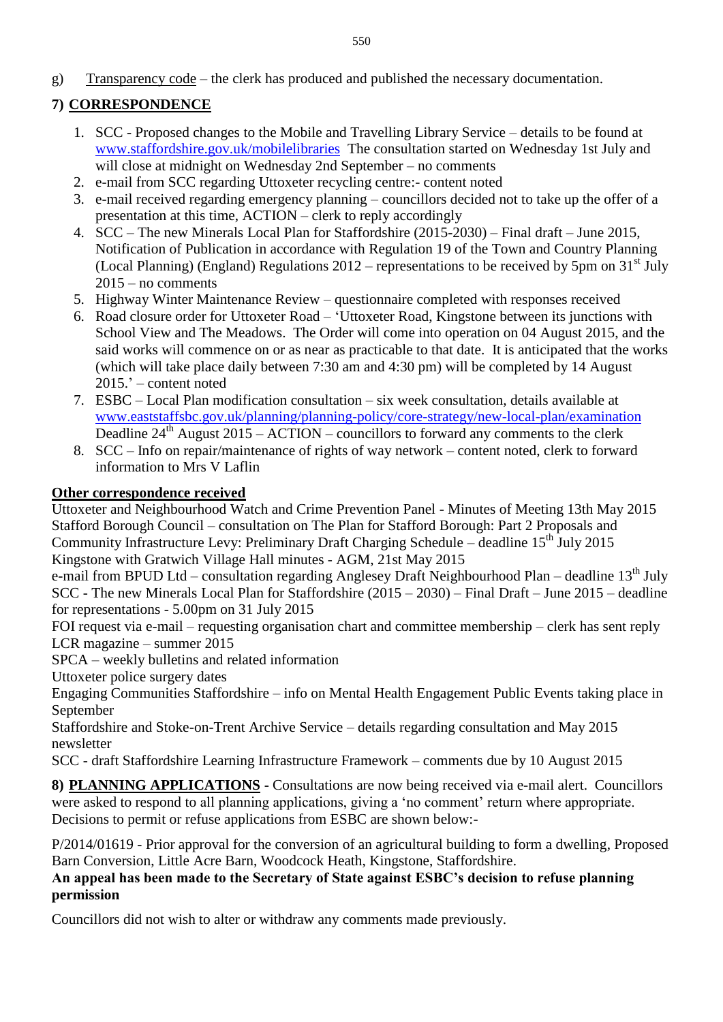g) Transparency code – the clerk has produced and published the necessary documentation.

## **7) CORRESPONDENCE**

- 1. SCC Proposed changes to the Mobile and Travelling Library Service details to be found at [www.staffordshire.gov.uk/mobilelibraries](http://www.staffordshire.gov.uk/mobilelibraries) The consultation started on Wednesday 1st July and will close at midnight on Wednesday 2nd September – no comments
- 2. e-mail from SCC regarding Uttoxeter recycling centre:- content noted
- 3. e-mail received regarding emergency planning councillors decided not to take up the offer of a presentation at this time, ACTION – clerk to reply accordingly
- 4. SCC The new Minerals Local Plan for Staffordshire (2015-2030) Final draft June 2015, Notification of Publication in accordance with Regulation 19 of the Town and Country Planning (Local Planning) (England) Regulations  $2012$  – representations to be received by 5pm on  $31<sup>st</sup>$  July  $2015 - no$  comments
- 5. Highway Winter Maintenance Review questionnaire completed with responses received
- 6. Road closure order for Uttoxeter Road 'Uttoxeter Road, Kingstone between its junctions with School View and The Meadows. The Order will come into operation on 04 August 2015, and the said works will commence on or as near as practicable to that date. It is anticipated that the works (which will take place daily between 7:30 am and 4:30 pm) will be completed by 14 August 2015.' – content noted
- 7. ESBC Local Plan modification consultation six week consultation, details available at [www.eaststaffsbc.gov.uk/planning/planning-policy/core-strategy/new-local-plan/examination](http://www.eaststaffsbc.gov.uk/planning/planning-policy/core-strategy/new-local-plan/examination) Deadline 24<sup>th</sup> August 2015 – ACTION – councillors to forward any comments to the clerk
- 8. SCC Info on repair/maintenance of rights of way network content noted, clerk to forward information to Mrs V Laflin

### **Other correspondence received**

Uttoxeter and Neighbourhood Watch and Crime Prevention Panel - Minutes of Meeting 13th May 2015 Stafford Borough Council – consultation on The Plan for Stafford Borough: Part 2 Proposals and Community Infrastructure Levy: Preliminary Draft Charging Schedule – deadline  $15<sup>th</sup>$  July 2015 Kingstone with Gratwich Village Hall minutes - AGM, 21st May 2015

e-mail from BPUD Ltd – consultation regarding Anglesey Draft Neighbourhood Plan – deadline 13<sup>th</sup> July SCC - The new Minerals Local Plan for Staffordshire (2015 – 2030) – Final Draft – June 2015 – deadline for representations - 5.00pm on 31 July 2015

FOI request via e-mail – requesting organisation chart and committee membership – clerk has sent reply LCR magazine – summer 2015

SPCA – weekly bulletins and related information

Uttoxeter police surgery dates

Engaging Communities Staffordshire – info on Mental Health Engagement Public Events taking place in September

Staffordshire and Stoke-on-Trent Archive Service – details regarding consultation and May 2015 newsletter

SCC - draft Staffordshire Learning Infrastructure Framework – comments due by 10 August 2015

**8) PLANNING APPLICATIONS -** Consultations are now being received via e-mail alert. Councillors were asked to respond to all planning applications, giving a 'no comment' return where appropriate. Decisions to permit or refuse applications from ESBC are shown below:-

P/2014/01619 - Prior approval for the conversion of an agricultural building to form a dwelling, Proposed Barn Conversion, Little Acre Barn, Woodcock Heath, Kingstone, Staffordshire.

### **An appeal has been made to the Secretary of State against ESBC's decision to refuse planning permission**

Councillors did not wish to alter or withdraw any comments made previously.